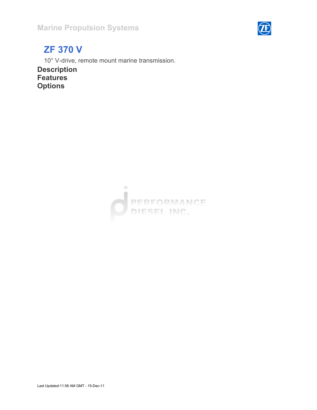

# ZF 370 V

10° V-drive, remote mount marine transmission.

Description **Features Options** 

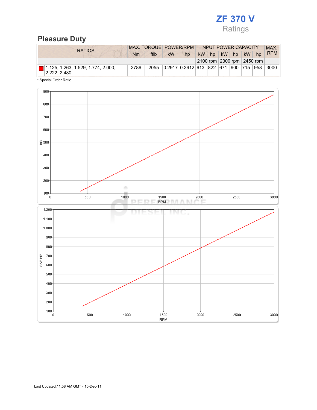#### Pleasure Duty

| <b>RATIOS</b>                                                   | MAX. TORQUE POWER/RPM |      |           |                                       | <b>INPUT POWER CAPACITY</b> |    |       |  |    |                            | <b>MAX</b> |
|-----------------------------------------------------------------|-----------------------|------|-----------|---------------------------------------|-----------------------------|----|-------|--|----|----------------------------|------------|
|                                                                 | <b>Nm</b>             | ftlb | <b>kW</b> | hp                                    | kW                          | hp | kW hp |  | kW | hp                         | <b>RPM</b> |
|                                                                 |                       |      |           |                                       |                             |    |       |  |    | 2100 rpm 2300 rpm 2450 rpm |            |
| $\boxed{ }$ 1.125, 1.263, 1.529, 1.774, 2.000,<br> 2.222, 2.480 | 2786                  | 2055 |           | 0.2917 0.3912 613 822 671 900 715 958 |                             |    |       |  |    |                            | 3000       |
| * Special Order Ratio.                                          |                       |      |           |                                       |                             |    |       |  |    |                            |            |

900 800 700 600  $\geq 500$ 400 300 200  $100 +$  $500$ 1000 1500  ${\bf 2000}$ 2500 3000 **RPM**  $\sqrt{2}$  $\mathbb{N}$ . T r r  $1.200$ TN ( ъ т T. s  $1.100 \cdot$  $1.000 \cdot$  $900<sub>1</sub>$ 800 SAE-HP 700 600 500  $400<sup>1</sup>$  $300<sub>0</sub>$  $200 100 +$ 500 1000 1500 2000 2500 3000 **RPM**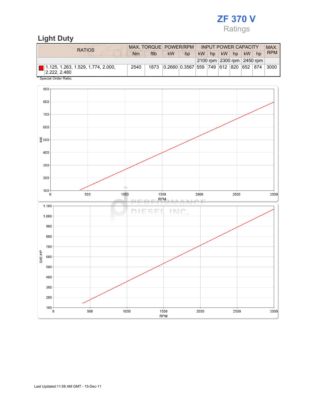### Light Duty

| <b>RATIOS</b>                                            | MAX. TORQUE POWER/RPM |      |           |                               | <b>INPUT POWER CAPACITY</b> |    |  |         |     |                            | MAX.       |
|----------------------------------------------------------|-----------------------|------|-----------|-------------------------------|-----------------------------|----|--|---------|-----|----------------------------|------------|
|                                                          | Nm                    | ftlb | <b>kW</b> | hp                            | <b>kW</b>                   | hp |  | $kW$ hp | kW  | hp                         | <b>RPM</b> |
|                                                          |                       |      |           |                               |                             |    |  |         |     | 2100 rpm 2300 rpm 2450 rpm |            |
| $\Box$ 1.125, 1.263, 1.529, 1.774, 2.000,<br>2.222.2.480 | 2540                  | 1873 |           | 0.2660 0.3567 559 749 612 820 |                             |    |  |         | 652 | 874                        | 3000       |
| * Special Order Ratio.                                   |                       |      |           |                               |                             |    |  |         |     |                            |            |

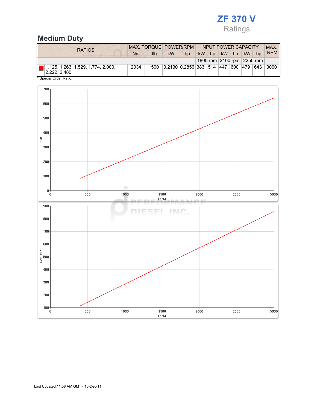## Medium Duty

| <b>RATIOS</b>                                                            | MAX. TORQUE POWER/RPM |      |           |                                          | <b>INPUT POWER CAPACITY</b> |         |       |  |                            |  | <b>MAX</b> |
|--------------------------------------------------------------------------|-----------------------|------|-----------|------------------------------------------|-----------------------------|---------|-------|--|----------------------------|--|------------|
|                                                                          | Nm                    | ftlb | <b>kW</b> | hp                                       |                             | $kW$ hp | kW hp |  | $kW$ hp                    |  | <b>RPM</b> |
|                                                                          |                       |      |           |                                          |                             |         |       |  | 1800 rpm 2100 rpm 2250 rpm |  |            |
| $\boxed{\blacksquare}$ 1.125, 1.263, 1.529, 1.774, 2.000,<br>2.222.2.480 | 2034                  | 1500 |           | $ 0.2130 0.2856 383 514 447 600 479 643$ |                             |         |       |  |                            |  | 3000       |
| * Special Order Ratio.                                                   |                       |      |           |                                          |                             |         |       |  |                            |  |            |

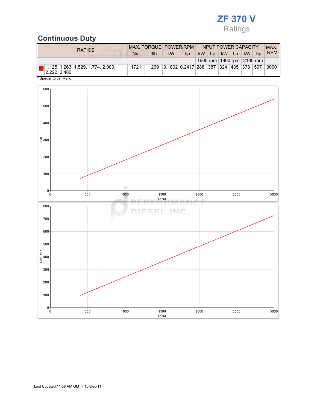### Continuous Duty

| <b>RATIOS</b>                                                              | MAX. TORQUE POWER/RPM |      |                                   |    | <b>INPUT POWER CAPACITY</b> |    |       |  |         |                                | <b>MAX</b> |
|----------------------------------------------------------------------------|-----------------------|------|-----------------------------------|----|-----------------------------|----|-------|--|---------|--------------------------------|------------|
|                                                                            | Nm                    | ftlb | <b>kW</b>                         | hp | kW                          | hp | kW hp |  | $kW$ hp |                                | <b>RPM</b> |
|                                                                            |                       |      |                                   |    |                             |    |       |  |         | 1600 rpm   1800 rpm   2100 rpm |            |
| $\boxed{\blacksquare}$ 1.125, 1.263, 1.529, 1.774, 2.000,<br> 2.222, 2.480 | 1721                  | 1269 | 0.1802 0.2417 288 387 324 435 378 |    |                             |    |       |  |         | 507                            | 3000       |
| * Special Order Ratio.                                                     |                       |      |                                   |    |                             |    |       |  |         |                                |            |

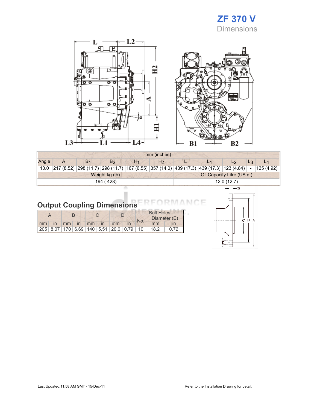### ZF 370 V Dimensions

 $\mathbf L$  $-L2$ œ,  $\Box$ 卫 ō  $\overline{\circ}$   $\overline{\circ}$  $\circ$ Ξ  $\frac{1}{2}$ L<sub>3</sub> L4-L1



|       |                         |                                                                                                      |                |                | mm (inches)    |            |                            |                |       |       |
|-------|-------------------------|------------------------------------------------------------------------------------------------------|----------------|----------------|----------------|------------|----------------------------|----------------|-------|-------|
| Angle | A                       | B <sub>1</sub>                                                                                       | B <sub>2</sub> | H <sub>1</sub> | H <sub>2</sub> |            | L <sub>1</sub>             | L <sub>2</sub> | $L_3$ | $L_4$ |
| 10.0  |                         | 217 (8.52) 298 (11.7) 298 (11.7) 167 (6.55) 357 (14.0) 439 (17.3) 439 (17.3) 123 (4.84) - 125 (4.92) |                |                |                |            |                            |                |       |       |
|       |                         |                                                                                                      | Weight kg (lb) |                |                |            | Oil Capacity Litre (US qt) |                |       |       |
|       | 194 (428)<br>12.0(12.7) |                                                                                                      |                |                |                |            |                            |                |       |       |
|       |                         |                                                                                                      |                |                |                | $\vdash$ D |                            |                |       |       |
|       |                         |                                                                                                      |                |                |                |            |                            |                |       |       |

# **Output Coupling Dimensions**

|  |  |  |  |  |                      |  |  | <b>Bolt Holes</b>                            |      |  |              |
|--|--|--|--|--|----------------------|--|--|----------------------------------------------|------|--|--------------|
|  |  |  |  |  |                      |  |  |                                              | No.  |  | Diameter (E) |
|  |  |  |  |  | mm in mm in mm in mm |  |  | mm                                           |      |  |              |
|  |  |  |  |  |                      |  |  | 205 8.07 170 6.69 140 5.51 20.0 0.79 10 18.2 | 0.72 |  |              |



F